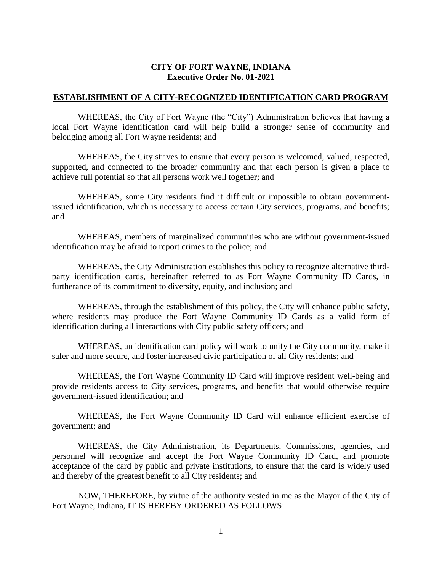## **CITY OF FORT WAYNE, INDIANA Executive Order No. 01-2021**

## **ESTABLISHMENT OF A CITY-RECOGNIZED IDENTIFICATION CARD PROGRAM**

WHEREAS, the City of Fort Wayne (the "City") Administration believes that having a local Fort Wayne identification card will help build a stronger sense of community and belonging among all Fort Wayne residents; and

WHEREAS, the City strives to ensure that every person is welcomed, valued, respected, supported, and connected to the broader community and that each person is given a place to achieve full potential so that all persons work well together; and

WHEREAS, some City residents find it difficult or impossible to obtain governmentissued identification, which is necessary to access certain City services, programs, and benefits; and

WHEREAS, members of marginalized communities who are without government-issued identification may be afraid to report crimes to the police; and

WHEREAS, the City Administration establishes this policy to recognize alternative thirdparty identification cards, hereinafter referred to as Fort Wayne Community ID Cards, in furtherance of its commitment to diversity, equity, and inclusion; and

WHEREAS, through the establishment of this policy, the City will enhance public safety, where residents may produce the Fort Wayne Community ID Cards as a valid form of identification during all interactions with City public safety officers; and

WHEREAS, an identification card policy will work to unify the City community, make it safer and more secure, and foster increased civic participation of all City residents; and

WHEREAS, the Fort Wayne Community ID Card will improve resident well-being and provide residents access to City services, programs, and benefits that would otherwise require government-issued identification; and

WHEREAS, the Fort Wayne Community ID Card will enhance efficient exercise of government; and

WHEREAS, the City Administration, its Departments, Commissions, agencies, and personnel will recognize and accept the Fort Wayne Community ID Card, and promote acceptance of the card by public and private institutions, to ensure that the card is widely used and thereby of the greatest benefit to all City residents; and

NOW, THEREFORE, by virtue of the authority vested in me as the Mayor of the City of Fort Wayne, Indiana, IT IS HEREBY ORDERED AS FOLLOWS: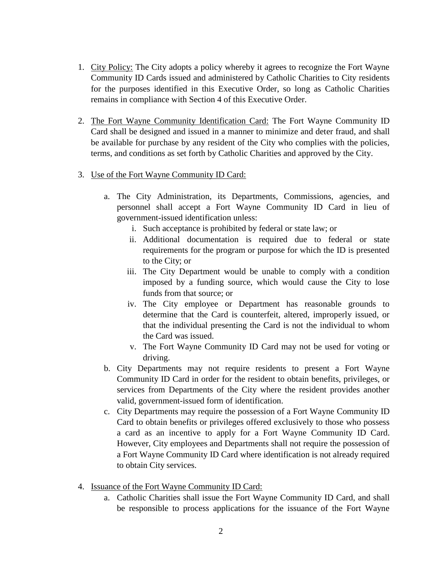- 1. City Policy: The City adopts a policy whereby it agrees to recognize the Fort Wayne Community ID Cards issued and administered by Catholic Charities to City residents for the purposes identified in this Executive Order, so long as Catholic Charities remains in compliance with Section 4 of this Executive Order.
- 2. The Fort Wayne Community Identification Card: The Fort Wayne Community ID Card shall be designed and issued in a manner to minimize and deter fraud, and shall be available for purchase by any resident of the City who complies with the policies, terms, and conditions as set forth by Catholic Charities and approved by the City.
- 3. Use of the Fort Wayne Community ID Card:
	- a. The City Administration, its Departments, Commissions, agencies, and personnel shall accept a Fort Wayne Community ID Card in lieu of government-issued identification unless:
		- i. Such acceptance is prohibited by federal or state law; or
		- ii. Additional documentation is required due to federal or state requirements for the program or purpose for which the ID is presented to the City; or
		- iii. The City Department would be unable to comply with a condition imposed by a funding source, which would cause the City to lose funds from that source; or
		- iv. The City employee or Department has reasonable grounds to determine that the Card is counterfeit, altered, improperly issued, or that the individual presenting the Card is not the individual to whom the Card was issued.
		- v. The Fort Wayne Community ID Card may not be used for voting or driving.
	- b. City Departments may not require residents to present a Fort Wayne Community ID Card in order for the resident to obtain benefits, privileges, or services from Departments of the City where the resident provides another valid, government-issued form of identification.
	- c. City Departments may require the possession of a Fort Wayne Community ID Card to obtain benefits or privileges offered exclusively to those who possess a card as an incentive to apply for a Fort Wayne Community ID Card. However, City employees and Departments shall not require the possession of a Fort Wayne Community ID Card where identification is not already required to obtain City services.
- 4. Issuance of the Fort Wayne Community ID Card:
	- a. Catholic Charities shall issue the Fort Wayne Community ID Card, and shall be responsible to process applications for the issuance of the Fort Wayne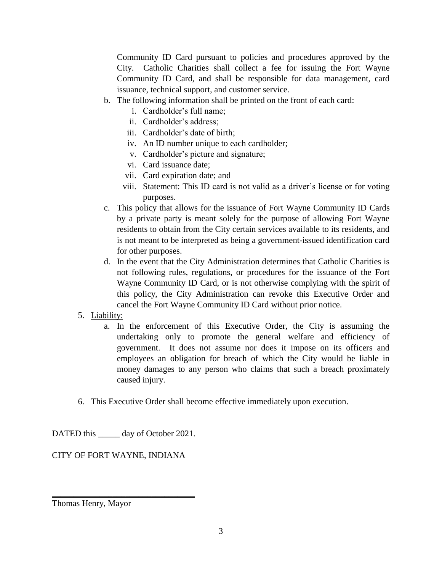Community ID Card pursuant to policies and procedures approved by the City. Catholic Charities shall collect a fee for issuing the Fort Wayne Community ID Card, and shall be responsible for data management, card issuance, technical support, and customer service.

- b. The following information shall be printed on the front of each card:
	- i. Cardholder's full name;
	- ii. Cardholder's address;
	- iii. Cardholder's date of birth;
	- iv. An ID number unique to each cardholder;
	- v. Cardholder's picture and signature;
	- vi. Card issuance date;
	- vii. Card expiration date; and
	- viii. Statement: This ID card is not valid as a driver's license or for voting purposes.
- c. This policy that allows for the issuance of Fort Wayne Community ID Cards by a private party is meant solely for the purpose of allowing Fort Wayne residents to obtain from the City certain services available to its residents, and is not meant to be interpreted as being a government-issued identification card for other purposes.
- d. In the event that the City Administration determines that Catholic Charities is not following rules, regulations, or procedures for the issuance of the Fort Wayne Community ID Card, or is not otherwise complying with the spirit of this policy, the City Administration can revoke this Executive Order and cancel the Fort Wayne Community ID Card without prior notice.

## 5. Liability:

- a. In the enforcement of this Executive Order, the City is assuming the undertaking only to promote the general welfare and efficiency of government. It does not assume nor does it impose on its officers and employees an obligation for breach of which the City would be liable in money damages to any person who claims that such a breach proximately caused injury.
- 6. This Executive Order shall become effective immediately upon execution.

DATED this \_\_\_\_\_\_ day of October 2021.

CITY OF FORT WAYNE, INDIANA

\_\_\_\_\_\_\_\_\_\_\_\_\_\_\_\_\_\_\_\_\_\_\_\_\_\_\_\_\_\_\_\_\_

Thomas Henry, Mayor